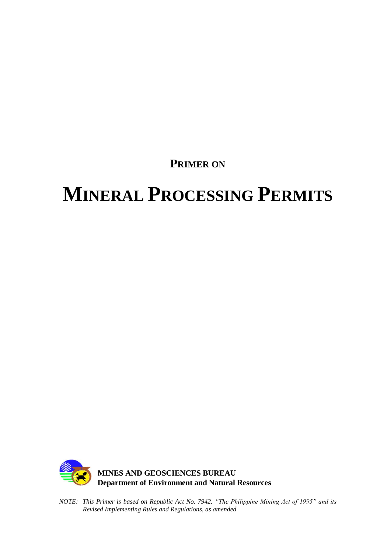**PRIMER ON**

# **MINERAL PROCESSING PERMITS**



*NOTE: This Primer is based on Republic Act No. 7942, "The Philippine Mining Act of 1995" and its Revised Implementing Rules and Regulations, as amended*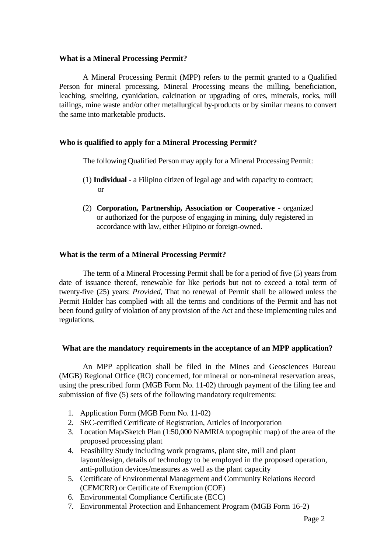#### **What is a Mineral Processing Permit?**

A Mineral Processing Permit (MPP) refers to the permit granted to a Qualified Person for mineral processing. Mineral Processing means the milling, beneficiation, leaching, smelting, cyanidation, calcination or upgrading of ores, minerals, rocks, mill tailings, mine waste and/or other metallurgical by-products or by similar means to convert the same into marketable products.

#### **Who is qualified to apply for a Mineral Processing Permit?**

The following Qualified Person may apply for a Mineral Processing Permit:

- (1) **Individual**  a Filipino citizen of legal age and with capacity to contract; or
- (2) **Corporation, Partnership, Association or Cooperative** organized or authorized for the purpose of engaging in mining, duly registered in accordance with law, either Filipino or foreign-owned.

#### **What is the term of a Mineral Processing Permit?**

The term of a Mineral Processing Permit shall be for a period of five (5) years from date of issuance thereof, renewable for like periods but not to exceed a total term of twenty-five (25) years: *Provided*, That no renewal of Permit shall be allowed unless the Permit Holder has complied with all the terms and conditions of the Permit and has not been found guilty of violation of any provision of the Act and these implementing rules and regulations.

#### **What are the mandatory requirements in the acceptance of an MPP application?**

An MPP application shall be filed in the Mines and Geosciences Bureau (MGB) Regional Office (RO) concerned, for mineral or non-mineral reservation areas, using the prescribed form (MGB Form No. 11-02) through payment of the filing fee and submission of five (5) sets of the following mandatory requirements:

- 1. Application Form (MGB Form No. 11-02)
- 2. SEC-certified Certificate of Registration, Articles of Incorporation
- 3. Location Map/Sketch Plan (1:50,000 NAMRIA topographic map) of the area of the proposed processing plant
- 4. Feasibility Study including work programs, plant site, mill and plant layout/design, details of technology to be employed in the proposed operation, anti-pollution devices/measures as well as the plant capacity
- 5. Certificate of Environmental Management and Community Relations Record (CEMCRR) or Certificate of Exemption (COE)
- 6. Environmental Compliance Certificate (ECC)
- 7. Environmental Protection and Enhancement Program (MGB Form 16-2)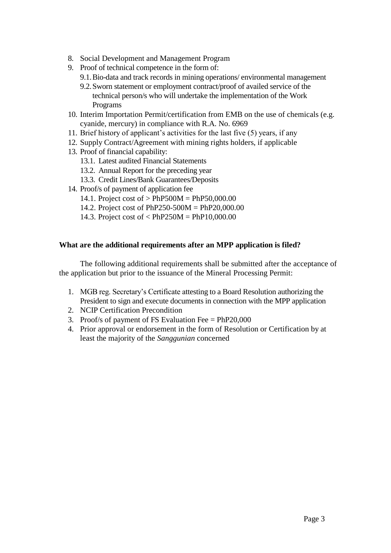- 8. Social Development and Management Program
- 9. Proof of technical competence in the form of:
	- 9.1.Bio-data and track records in mining operations/ environmental management
	- 9.2.Sworn statement or employment contract/proof of availed service of the technical person/s who will undertake the implementation of the Work Programs
- 10. Interim Importation Permit/certification from EMB on the use of chemicals (e.g. cyanide, mercury) in compliance with R.A. No. 6969
- 11. Brief history of applicant's activities for the last five (5) years, if any
- 12. Supply Contract/Agreement with mining rights holders, if applicable
- 13. Proof of financial capability:
	- 13.1. Latest audited Financial Statements
	- 13.2. Annual Report for the preceding year
	- 13.3. Credit Lines/Bank Guarantees/Deposits
- 14. Proof/s of payment of application fee
	- 14.1. Project cost of > PhP500M = PhP50,000.00
	- 14.2. Project cost of PhP250-500M = PhP20,000.00
	- 14.3. Project cost of < PhP250M = PhP10,000.00

#### **What are the additional requirements after an MPP application is filed?**

The following additional requirements shall be submitted after the acceptance of the application but prior to the issuance of the Mineral Processing Permit:

- 1. MGB reg. Secretary's Certificate attesting to a Board Resolution authorizing the President to sign and execute documents in connection with the MPP application
- 2. NCIP Certification Precondition
- 3. Proof/s of payment of FS Evaluation Fee = PhP20,000
- 4. Prior approval or endorsement in the form of Resolution or Certification by at least the majority of the *Sanggunian* concerned